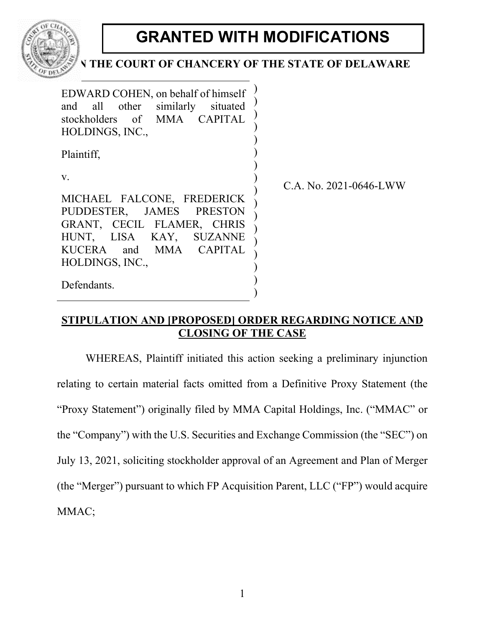

# **GRANTED WITH MODIFICATIONS**

# THE COURT OF CHANCERY OF THE STATE OF DELAWARE

| EDWARD COHEN, on behalf of himself<br>and all other similarly<br>situated<br>stockholders of MMA CAPITAL<br>HOLDINGS, INC., |                             |
|-----------------------------------------------------------------------------------------------------------------------------|-----------------------------|
| Plaintiff,                                                                                                                  |                             |
| V.                                                                                                                          | C.A. No. $2021 - 0646$ -LWW |
| MICHAEL FALCONE, FREDERICK                                                                                                  |                             |
| PUDDESTER, JAMES PRESTON                                                                                                    |                             |
| GRANT, CECIL FLAMER, CHRIS                                                                                                  |                             |
| HUNT, LISA KAY, SUZANNE                                                                                                     |                             |
| KUCERA and MMA CAPITAL                                                                                                      |                             |
| HOLDINGS, INC.,                                                                                                             |                             |
| Defendants.                                                                                                                 |                             |

# **STIPULATION AND [PROPOSED] ORDER REGARDING NOTICE AND CLOSING OF THE CASE**

WHEREAS, Plaintiff initiated this action seeking a preliminary injunction relating to certain material facts omitted from a Definitive Proxy Statement (the "Proxy Statement") originally filed by MMA Capital Holdings, Inc. ("MMAC" or the "Company") with the U.S. Securities and Exchange Commission (the "SEC") on July 13, 2021, soliciting stockholder approval of an Agreement and Plan of Merger (the "Merger") pursuant to which FP Acquisition Parent, LLC ("FP") would acquire MMAC;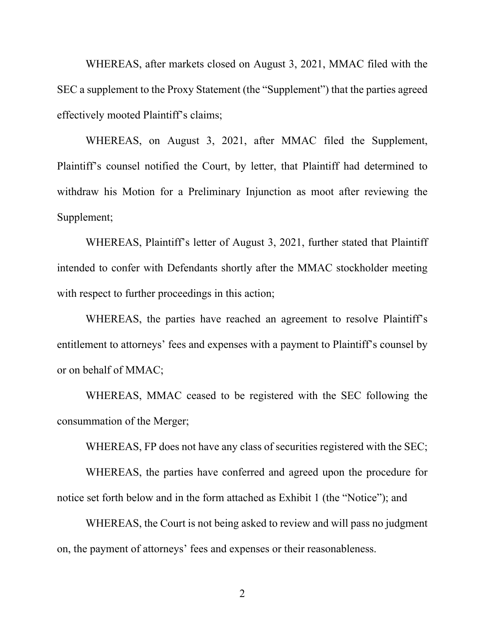WHEREAS, after markets closed on August 3, 2021, MMAC filed with the SEC a supplement to the Proxy Statement (the "Supplement") that the parties agreed effectively mooted Plaintiff's claims;

WHEREAS, on August 3, 2021, after MMAC filed the Supplement, Plaintiff's counsel notified the Court, by letter, that Plaintiff had determined to withdraw his Motion for a Preliminary Injunction as moot after reviewing the Supplement;

WHEREAS, Plaintiff's letter of August 3, 2021, further stated that Plaintiff intended to confer with Defendants shortly after the MMAC stockholder meeting with respect to further proceedings in this action;

WHEREAS, the parties have reached an agreement to resolve Plaintiff's entitlement to attorneys' fees and expenses with a payment to Plaintiff's counsel by or on behalf of MMAC;

WHEREAS, MMAC ceased to be registered with the SEC following the consummation of the Merger;

WHEREAS, FP does not have any class of securities registered with the SEC;

WHEREAS, the parties have conferred and agreed upon the procedure for notice set forth below and in the form attached as Exhibit 1 (the "Notice"); and

WHEREAS, the Court is not being asked to review and will pass no judgment on, the payment of attorneys' fees and expenses or their reasonableness.

2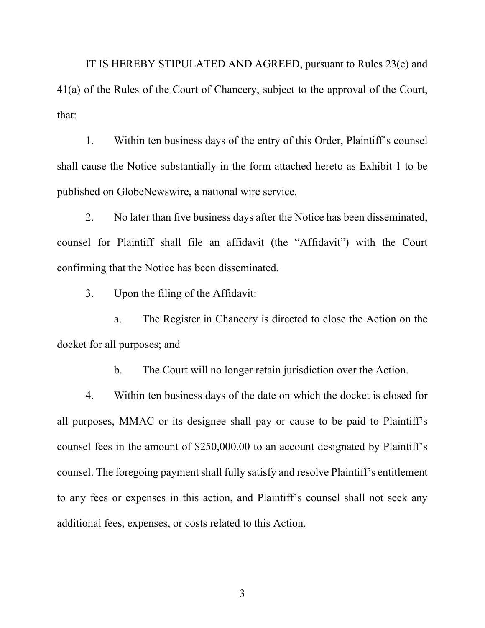IT IS HEREBY STIPULATED AND AGREED, pursuant to Rules 23(e) and 41(a) of the Rules of the Court of Chancery, subject to the approval of the Court, that:

1. Within ten business days of the entry of this Order, Plaintiff's counsel shall cause the Notice substantially in the form attached hereto as Exhibit 1 to be published on GlobeNewswire, a national wire service.

2. No later than five business days after the Notice has been disseminated, counsel for Plaintiff shall file an affidavit (the "Affidavit") with the Court confirming that the Notice has been disseminated.

3. Upon the filing of the Affidavit:

a. The Register in Chancery is directed to close the Action on the docket for all purposes; and

b. The Court will no longer retain jurisdiction over the Action.

4. Within ten business days of the date on which the docket is closed for all purposes, MMAC or its designee shall pay or cause to be paid to Plaintiff's counsel fees in the amount of \$250,000.00 to an account designated by Plaintiff's counsel. The foregoing payment shall fully satisfy and resolve Plaintiff's entitlement to any fees or expenses in this action, and Plaintiff's counsel shall not seek any additional fees, expenses, or costs related to this Action.

3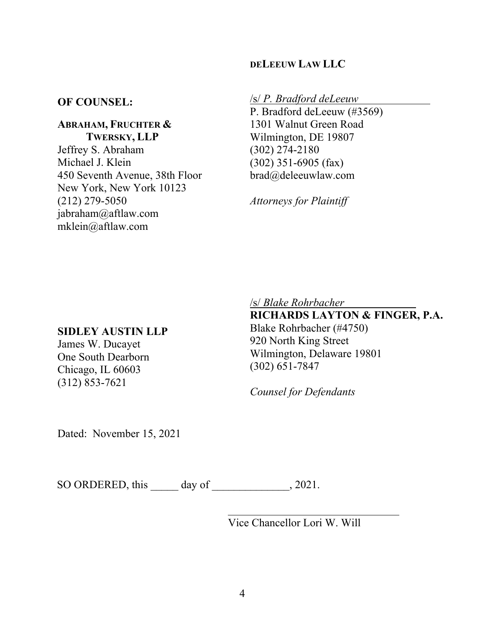## **DELEEUW LAW LLC**

## **OF COUNSEL:**

**ABRAHAM, FRUCHTER & TWERSKY, LLP** Jeffrey S. Abraham Michael J. Klein 450 Seventh Avenue, 38th Floor New York, New York 10123 (212) 279-5050 jabraham@aftlaw.com mklein@aftlaw.com

#### /s/ *P. Bradford deLeeuw*

P. Bradford deLeeuw (#3569) 1301 Walnut Green Road Wilmington, DE 19807 (302) 274-2180 (302) 351-6905 (fax) brad@deleeuwlaw.com

*Attorneys for Plaintiff*

#### **SIDLEY AUSTIN LLP**

James W. Ducayet One South Dearborn Chicago, IL 60603 (312) 853-7621

/s/ *Blake Rohrbacher* 

**RICHARDS LAYTON & FINGER, P.A.** Blake Rohrbacher (#4750) 920 North King Street Wilmington, Delaware 19801 (302) 651-7847

*Counsel for Defendants*

Dated: November 15, 2021

SO ORDERED, this day of \_\_\_\_\_\_\_\_\_\_\_\_\_, 2021.

Vice Chancellor Lori W. Will